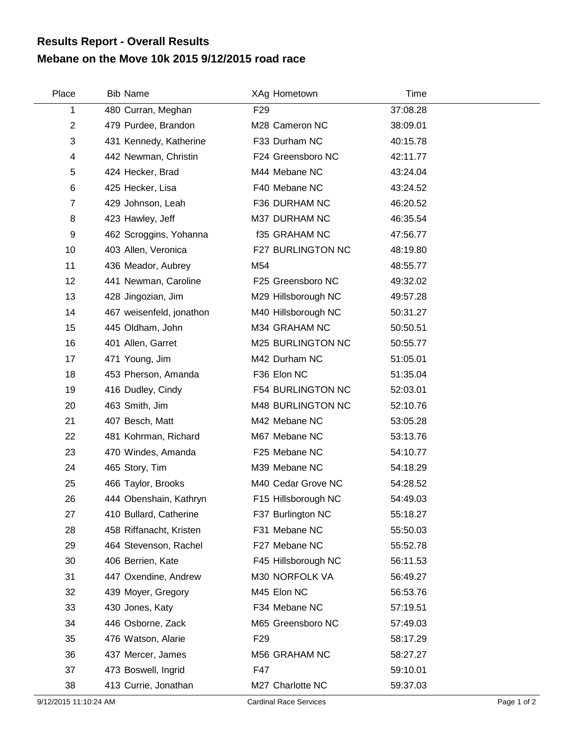## **Mebane on the Move 10k 2015 9/12/2015 road race Results Report - Overall Results**

| Place            | <b>Bib Name</b>          | XAg Hometown         | Time     |
|------------------|--------------------------|----------------------|----------|
| 1                | 480 Curran, Meghan       | F <sub>29</sub>      | 37:08.28 |
| $\boldsymbol{2}$ | 479 Purdee, Brandon      | M28 Cameron NC       | 38:09.01 |
| 3                | 431 Kennedy, Katherine   | F33 Durham NC        | 40:15.78 |
| 4                | 442 Newman, Christin     | F24 Greensboro NC    | 42:11.77 |
| 5                | 424 Hecker, Brad         | M44 Mebane NC        | 43:24.04 |
| 6                | 425 Hecker, Lisa         | F40 Mebane NC        | 43:24.52 |
| 7                | 429 Johnson, Leah        | F36 DURHAM NC        | 46:20.52 |
| 8                | 423 Hawley, Jeff         | M37 DURHAM NC        | 46:35.54 |
| 9                | 462 Scroggins, Yohanna   | <b>f35 GRAHAM NC</b> | 47:56.77 |
| 10               | 403 Allen, Veronica      | F27 BURLINGTON NC    | 48:19.80 |
| 11               | 436 Meador, Aubrey       | M54                  | 48:55.77 |
| 12               | 441 Newman, Caroline     | F25 Greensboro NC    | 49:32.02 |
| 13               | 428 Jingozian, Jim       | M29 Hillsborough NC  | 49:57.28 |
| 14               | 467 weisenfeld, jonathon | M40 Hillsborough NC  | 50:31.27 |
| 15               | 445 Oldham, John         | M34 GRAHAM NC        | 50:50.51 |
| 16               | 401 Allen, Garret        | M25 BURLINGTON NC    | 50:55.77 |
| 17               | 471 Young, Jim           | M42 Durham NC        | 51:05.01 |
| 18               | 453 Pherson, Amanda      | F36 Elon NC          | 51:35.04 |
| 19               | 416 Dudley, Cindy        | F54 BURLINGTON NC    | 52:03.01 |
| 20               | 463 Smith, Jim           | M48 BURLINGTON NC    | 52:10.76 |
| 21               | 407 Besch, Matt          | M42 Mebane NC        | 53:05.28 |
| 22               | 481 Kohrman, Richard     | M67 Mebane NC        | 53:13.76 |
| 23               | 470 Windes, Amanda       | F25 Mebane NC        | 54:10.77 |
| 24               | 465 Story, Tim           | M39 Mebane NC        | 54:18.29 |
| 25               | 466 Taylor, Brooks       | M40 Cedar Grove NC   | 54:28.52 |
| 26               | 444 Obenshain, Kathryn   | F15 Hillsborough NC  | 54:49.03 |
| 27               | 410 Bullard, Catherine   | F37 Burlington NC    | 55:18.27 |
| 28               | 458 Riffanacht, Kristen  | F31 Mebane NC        | 55:50.03 |
| 29               | 464 Stevenson, Rachel    | F27 Mebane NC        | 55:52.78 |
| 30               | 406 Berrien, Kate        | F45 Hillsborough NC  | 56:11.53 |
| 31               | 447 Oxendine, Andrew     | M30 NORFOLK VA       | 56:49.27 |
| 32               | 439 Moyer, Gregory       | M45 Elon NC          | 56:53.76 |
| 33               | 430 Jones, Katy          | F34 Mebane NC        | 57:19.51 |
| 34               | 446 Osborne, Zack        | M65 Greensboro NC    | 57:49.03 |
| 35               | 476 Watson, Alarie       | F <sub>29</sub>      | 58:17.29 |
| 36               | 437 Mercer, James        | M56 GRAHAM NC        | 58:27.27 |
| 37               | 473 Boswell, Ingrid      | F47                  | 59:10.01 |
| 38               | 413 Currie, Jonathan     | M27 Charlotte NC     | 59:37.03 |